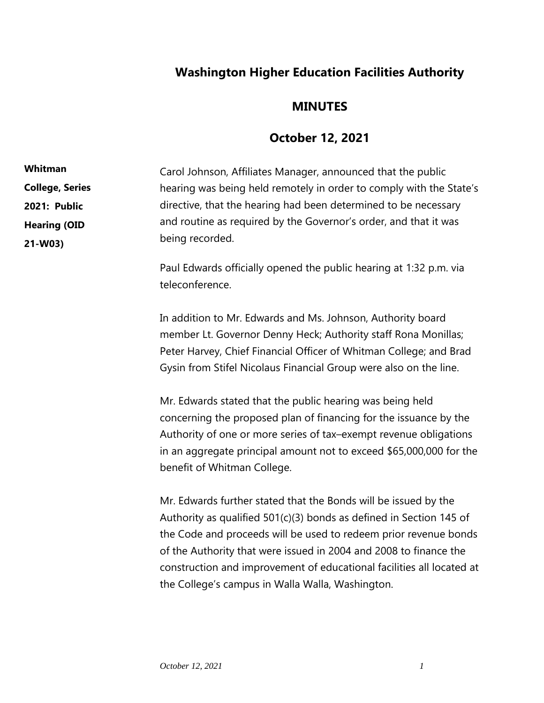## **Washington Higher Education Facilities Authority**

## **MINUTES**

## **October 12, 2021**

Carol Johnson, Affiliates Manager, announced that the public hearing was being held remotely in order to comply with the State's directive, that the hearing had been determined to be necessary and routine as required by the Governor's order, and that it was being recorded. **Whitman College, Series 2021: Public Hearing (OID 21-W03)**

> Paul Edwards officially opened the public hearing at 1:32 p.m. via teleconference.

In addition to Mr. Edwards and Ms. Johnson, Authority board member Lt. Governor Denny Heck; Authority staff Rona Monillas; Peter Harvey, Chief Financial Officer of Whitman College; and Brad Gysin from Stifel Nicolaus Financial Group were also on the line.

Mr. Edwards stated that the public hearing was being held concerning the proposed plan of financing for the issuance by the Authority of one or more series of tax–exempt revenue obligations in an aggregate principal amount not to exceed \$65,000,000 for the benefit of Whitman College.

Mr. Edwards further stated that the Bonds will be issued by the Authority as qualified 501(c)(3) bonds as defined in Section 145 of the Code and proceeds will be used to redeem prior revenue bonds of the Authority that were issued in 2004 and 2008 to finance the construction and improvement of educational facilities all located at the College's campus in Walla Walla, Washington.